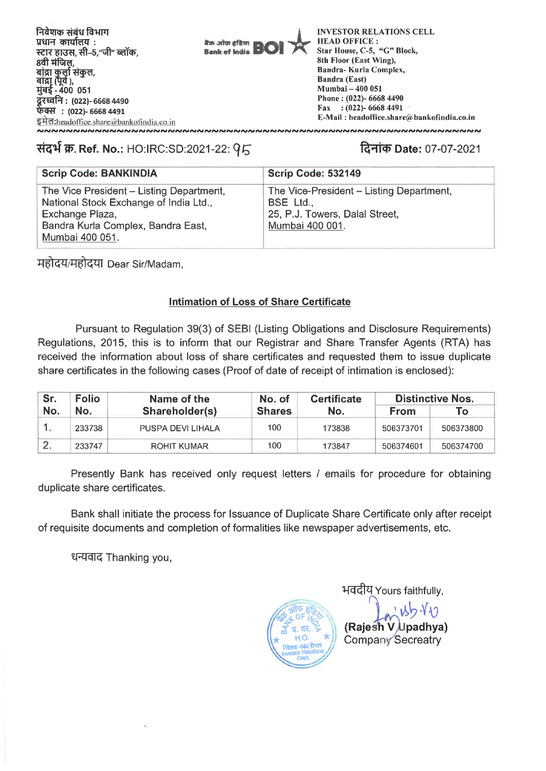

# **VI-44 W. Ref. No.:** HO:IRC:SD:2021-22: **1.4-11q) Date:** 07-07-2021

| <b>Scrip Code: BANKINDIA</b>             | <b>Scrip Code: 532149</b>                |
|------------------------------------------|------------------------------------------|
| The Vice President - Listing Department, | The Vice-President - Listing Department, |
| National Stock Exchange of India Ltd.,   | BSE Ltd.,                                |
| Exchange Plaza,                          | 25, P.J. Towers, Dalal Street,           |
| Bandra Kurla Complex, Bandra East,       | Mumbai 400 001.                          |
| Mumbai 400 051.                          |                                          |

महोदय/महोदया Dear Sir/Madam,

# **Intimation of Loss of Share Certificate**

Pursuant to Regulation 39(3) of SEBI (Listing Obligations and Disclosure Requirements) Regulations, 2015, this is to inform that our Registrar and Share Transfer Agents (RTA) has received the information about loss of share certificates and requested them to issue duplicate share certificates in the following cases (Proof of date of receipt of intimation is enclosed):

| Sr. | <b>Folio</b>          | Name of the       | No. of        | <b>Certificate</b> | <b>Distinctive Nos.</b> |           |  |
|-----|-----------------------|-------------------|---------------|--------------------|-------------------------|-----------|--|
| No. | No.<br>Shareholder(s) |                   | <b>Shares</b> | No.                | <b>From</b>             | Τо        |  |
| . . | 233738                | PUSPA DEVI LIHALA | 100           | 173838             | 506373701               | 506373800 |  |
|     | 233747                | ROHIT KUMAR       | 100           | 173847             | 506374601               | 506374700 |  |

Presently Bank has received only request letters / emails for procedure for obtaining duplicate share certificates.

Bank shall initiate the process for Issuance of Duplicate Share Certificate only after receipt of requisite documents and completion of formalities like newspaper advertisements, etc.

धन्यवाद Thanking you,



भवदीय Yours faithfully,  $15.10$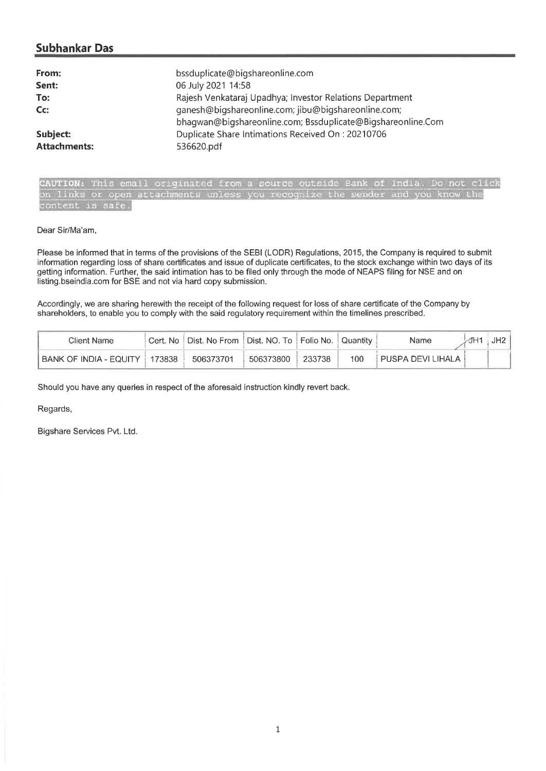# **Subhankar Das**

| From:<br>Sent:<br>To:<br>Cc: | bssduplicate@bigshareonline.com<br>06 July 2021 14:58<br>Rajesh Venkataraj Upadhya; Investor Relations Department<br>ganesh@bigshareonline.com; jibu@bigshareonline.com;<br>bhagwan@bigshareonline.com; Bssduplicate@Bigshareonline.Com |
|------------------------------|-----------------------------------------------------------------------------------------------------------------------------------------------------------------------------------------------------------------------------------------|
| Subject:                     | Duplicate Share Intimations Received On: 20210706                                                                                                                                                                                       |
| <b>Attachments:</b>          | 536620.pdf                                                                                                                                                                                                                              |

**CAUTION:** This email originated from a source outside Bank of India. Do not click<br>on links or open attachments unless you recognize the sender and you know the on links or open attachments unless you recognize content is safe.

#### Dear Sir/Ma'am,

Please be informed that in terms of the provisions of the SEBI (LODR) Regulations, 2015, the Company is required to submit information regarding loss of share certificates and issue of duplicate certificates, to the stock exchange within two days of its getting information. Further, the said intimation has to be filed only through the mode of NEAPS filing for NSE and on listing.bseindia.com for BSE and not via hard copy submission.

Accordingly, we are sharing herewith the receipt of the following request for loss of share certificate of the Company by shareholders, to enable you to comply with the said regulatory requirement within the timelines prescribed.

| Client Name            |       | Cert. No   Dist. No From   Dist. NO. To   Folio No.   Quantity |           |        |     | Name              | JH <sub>2</sub> |
|------------------------|-------|----------------------------------------------------------------|-----------|--------|-----|-------------------|-----------------|
| BANK OF INDIA - EQUITY | 73838 | 506373701                                                      | 506373800 | 233738 | 100 | PUSPA DEVI LIHALA |                 |

Should you have any queries in respect of the aforesaid instruction kindly revert back.

Regards,

Bigshare Services Pvt. Ltd.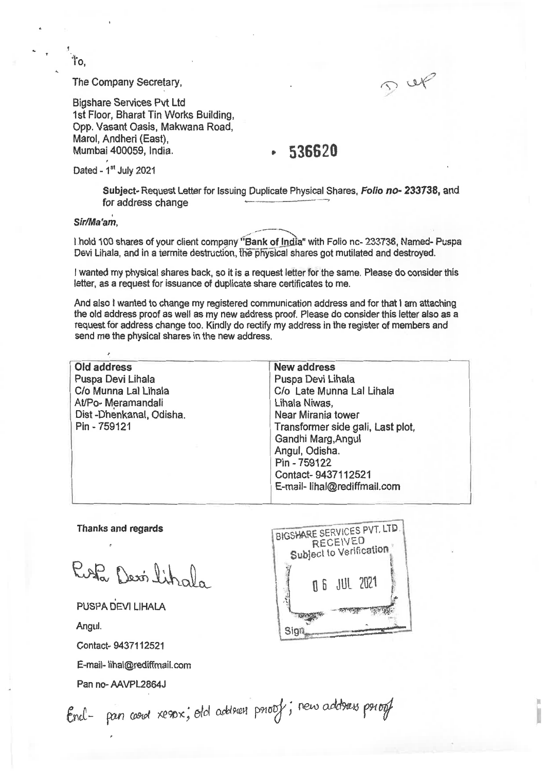The Company Secretary,

Bigshare Services Pvt Ltd 1st Floor, Bharat Tin Works Building, Opp. Vasant Oasis, Makwana Road, Marol, Andheri (East), Mumbai 400059, India,

# **536620**

DUF

Dated - 1st July 2021

Subject- Request Letter for Issuing Duplicate Physical Shares, **Folio no- 233738,** and for address change

**Sir/Ma'am' ,** 

Ť٥.

I hold 100 shares of your client company "Bank of India" with Folio nc- 233738, Named- Puspa Devi Lihala, and in a termite destruction, the-physical shares got mutilated and destroyed.

I wanted my physical shares back, so it is a request letter for the same. Please do consider this letter, as a request for issuance of duplicate share certificates to me.

And also I wanted to change my registered communication address and for that I am attaching the old address proof as well as my new address proof. Please do consider this letter also as a request for address change too, Kindly do rectify my address in the register of members and send me the physical shares in the new address.

| Old address             | <b>New address</b>                |
|-------------------------|-----------------------------------|
| Puspa Devi Lihala       | Puspa Devi Lihala                 |
| C/o Munna Lal Lihala    | C/o Late Munna Lal Lihala         |
| At/Po- Meramandali      | Lihala Niwas,                     |
| Dist-Dhenkanal, Odisha. | Near Mirania tower                |
| Pin - 759121            | Transformer side gali, Last plot, |
|                         | Gandhi Marg, Angul                |
|                         | Angul, Odisha.                    |
|                         | Pin - 759122                      |
|                         | Contact-9437112521                |
|                         | E-mail- lihal@rediffmail.com      |
|                         |                                   |

Thanks and regards

Rofa Dexilihala

PUSPA DEVI LIHALA

Angul.

Contact- 9437112521

E-mail- lihal@rediffmail.com

Pan no- AAVPL2864J



End- pan coord xespx; old address proof; new address proof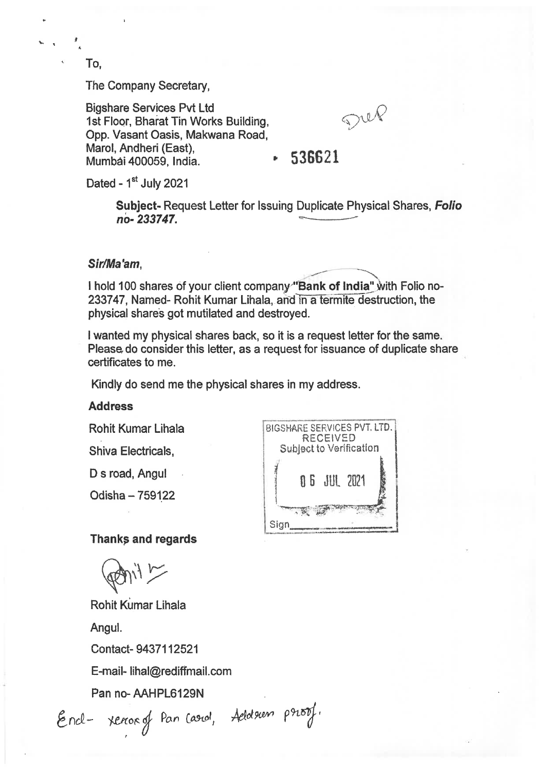To,

The Company Secretary,

Bigshare Services Pvt Ltd 1st Floor, Bharat Tin Works Building, Opp. Vasant Oasis, Makwana Road, Marol, Andheri (East), Mumbai 400059, India.

 $\mathcal{D}^{u\ell}$ 

# **536621**

Dated - 1<sup>st</sup> July 2021

**Subject-** Request Letter for Issuing Duplicate Physical Shares, **Folio no- 233747.** 

### **Sir/Ma'am,**

I hold 100 shares of your client company "Bank of India" with Folio no-233747, Named- Rohit Kumar Lihala, and in a termite destruction, the physical shares got mutilated and destroyed.

I wanted my physical shares back, so it is a request letter for the same. Please do consider this letter, as a request for issuance of duplicate share certificates to me.

Kindly do send me the physical shares in my address.

### **Address**

Rohit Kumar Lihala

Shiva Electricals,

D s road, Angul

Odisha — 759122

BIGSHARE SERVICES PVT. LTD. RECEIVED Subject to Verification 0 6 JUL 202 40.7,  $Sign$ 

### **Thanks and regards**

Rohit Kumar Lihala

Angul.

Contact- 9437112521

E-mail- lihal@rediffmail.com

Pan no- AAHPL6129N

End- renorg Pan Carol, Adole

ol, Aeloleum